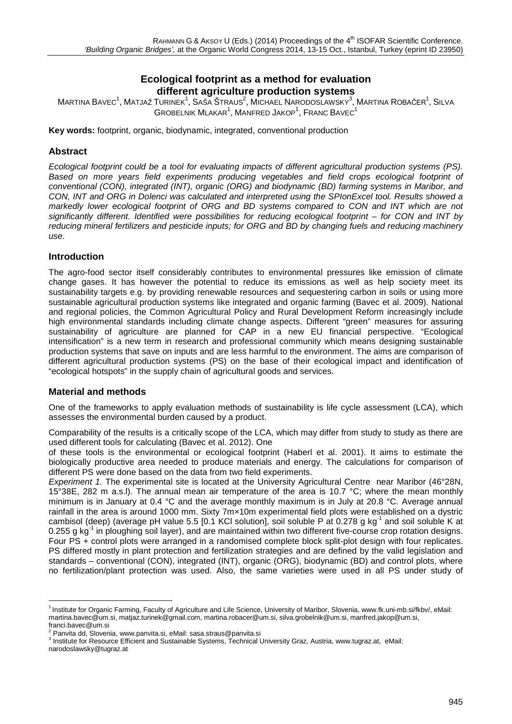# **Ecological footprint as a method for evaluation different agriculture production systems**

 $\mathsf{M}$ artina Bavec $^1$ , Matjaž Turinek $^1$ , Saša Štraus $^2$ , Michael Narodoslawsky $^3$ , Martina Robačer $^1$ , Silva  $G$ ROBELNIK MLAKAR $^1$ , MANFRED JAKOP $^1$ , FRANC BAVEC $^1$ 

**Key words:** footprint, organic, biodynamic, integrated, conventional production

## **Abstract**

*Ecological footprint could be a tool for evaluating impacts of different agricultural production systems (PS). Based on more years field experiments producing vegetables and field crops ecological footprint of conventional (CON), integrated (INT), organic (ORG) and biodynamic (BD) farming systems in Maribor, and CON, INT and ORG in Dolenci was calculated and interpreted using the SPIonExcel tool. Results showed a markedly lower ecological footprint of ORG and BD systems compared to CON and INT which are not significantly different. Identified were possibilities for reducing ecological footprint – for CON and INT by reducing mineral fertilizers and pesticide inputs; for ORG and BD by changing fuels and reducing machinery use.* 

## **Introduction**

The agro-food sector itself considerably contributes to environmental pressures like emission of climate change gases. It has however the potential to reduce its emissions as well as help society meet its sustainability targets e.g. by providing renewable resources and sequestering carbon in soils or using more sustainable agricultural production systems like integrated and organic farming (Bavec et al. 2009). National and regional policies, the Common Agricultural Policy and Rural Development Reform increasingly include high environmental standards including climate change aspects. Different "green" measures for assuring sustainability of agriculture are planned for CAP in a new EU financial perspective. "Ecological intensification" is a new term in research and professional community which means designing sustainable production systems that save on inputs and are less harmful to the environment. The aims are comparison of different agricultural production systems (PS) on the base of their ecological impact and identification of "ecological hotspots" in the supply chain of agricultural goods and services.

### **Material and methods**

One of the frameworks to apply evaluation methods of sustainability is life cycle assessment (LCA), which assesses the environmental burden caused by a product. **[1](#page-0-0)**

Comparability of the results is a critically scope of the LCA, which may differ from study to study as there are used different tools for calculating (Bavec et al. 2012). One

of these tools is the environmental or ecological footprint (Haberl et al. 2001). It aims to estimate the biologically productive area needed to produce materials and energy. The calculations for comparison of different PS were done based on the data from two field experiments.

*Experiment 1.* The experimental site is located at the University Agricultural Centre near Maribor (46°28N, 15°38E, 282 m a.s.l). The annual mean air temperature of the area is 10.7 °C; where the mean monthly minimum is in January at 0.4 °C and the average monthly maximum is in July at 20.8 °C. Average annual rainfall in the area is around 1000 mm. Sixty 7m×10m experimental field plots were established on a dystric cambisol (deep) (average pH value 5.5 [0.1 KCl solution], soil soluble P at 0.278 g kg<sup>-1</sup> and soil soluble K at 0.255 g kg<sup>-1</sup> in ploughing soil layer), and are maintained within two different five-course crop rotation designs. Four PS + control plots were arranged in a randomised complete block split-plot design with four replicates. PS differed mostly in plant protection and fertilization strategies and are defined by the valid legislation and standards – conventional (CON), integrated (INT), organic (ORG), biodynamic (BD) and control plots, where no fertilization/plant protection was used. Also, the same varieties were used in all PS under study of

<span id="page-0-0"></span><sup>&</sup>lt;sup>1</sup> Institute for Organic Farming, Faculty of Agriculture and Life Science, University of Maribor, Slovenia[, www.fk.uni-mb.si/fkbv/,](http://www.fk.uni-mb.si/fkbv/) eMail: [martina.bavec@um.si,](mailto:martina.bavec@um.si) matjaz.turinek@gmail.com[, martina.robacer@um.si,](mailto:martina.robacer@um.si) [silva.grobelnik@um.si,](mailto:silva.grobelnik@um.si) [manfred.jakop@um.si,](mailto:manfred.jakop@um.si)  franci.bavec@um.si<br><sup>2</sup> Panvita dd, Slovenia, www.panvita.si, eMail: sasa.straus@panvita.si

<sup>&</sup>lt;sup>3</sup> Institute for Resource Efficient and Sustainable Systems, Technical University Graz, Austria[, www.tugraz.at,](http://www.tugraz.at/) eMail: narodoslawsky@tugraz.at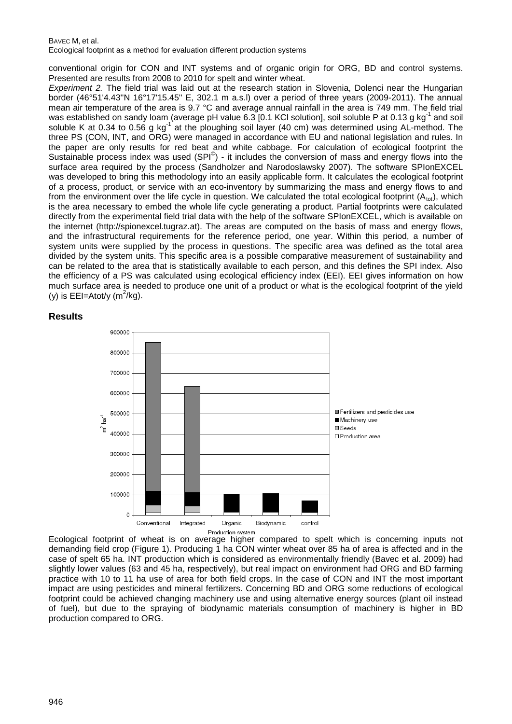#### BAVEC M, et al.

Ecological footprint as a method for evaluation different production systems

conventional origin for CON and INT systems and of organic origin for ORG, BD and control systems. Presented are results from 2008 to 2010 for spelt and winter wheat.

*Experiment 2.* The field trial was laid out at the research station in Slovenia, Dolenci near the Hungarian border (46°51'4.43''N 16°17'15.45'' E, 302.1 m a.s.l) over a period of three years (2009-2011). The annual mean air temperature of the area is 9.7 °C and average annual rainfall in the area is 749 mm. The field trial was established on sandy loam (average pH value 6.3 [0.1 KCl solution], soil soluble P at 0.13 g kg<sup>-1</sup> and soil soluble K at 0.34 to 0.56 g kg<sup>-1</sup> at the ploughing soil layer (40 cm) was determined using AL-method. The three PS (CON, INT, and ORG) were managed in accordance with EU and national legislation and rules. In the paper are only results for red beat and white cabbage. For calculation of ecological footprint the Sustainable process index was used  $(SPI^{\odot})$  - it includes the conversion of mass and energy flows into the surface area required by the process (Sandholzer and Narodoslawsky 2007). The software SPIonEXCEL was developed to bring this methodology into an easily applicable form. It calculates the ecological footprint of a process, product, or service with an eco-inventory by summarizing the mass and energy flows to and from the environment over the life cycle in question. We calculated the total ecological footprint  $(A_{tot})$ , which is the area necessary to embed the whole life cycle generating a product. Partial footprints were calculated directly from the experimental field trial data with the help of the software SPIonEXCEL, which is available on the internet (http://spionexcel.tugraz.at). The areas are computed on the basis of mass and energy flows, and the infrastructural requirements for the reference period, one year. Within this period, a number of system units were supplied by the process in questions. The specific area was defined as the total area divided by the system units. This specific area is a possible comparative measurement of sustainability and can be related to the area that is statistically available to each person, and this defines the SPI index. Also the efficiency of a PS was calculated using ecological efficiency index (EEI). EEI gives information on how much surface area is needed to produce one unit of a product or what is the ecological footprint of the yield (y) is  $EEl = Atot/y$  (m<sup>2</sup>/kg).

### **Results**



Ecological footprint of wheat is on average higher compared to spelt which is concerning inputs not demanding field crop (Figure 1). Producing 1 ha CON winter wheat over 85 ha of area is affected and in the case of spelt 65 ha. INT production which is considered as environmentally friendly (Bavec et al. 2009) had slightly lower values (63 and 45 ha, respectively), but real impact on environment had ORG and BD farming practice with 10 to 11 ha use of area for both field crops. In the case of CON and INT the most important impact are using pesticides and mineral fertilizers. Concerning BD and ORG some reductions of ecological footprint could be achieved changing machinery use and using alternative energy sources (plant oil instead of fuel), but due to the spraying of biodynamic materials consumption of machinery is higher in BD production compared to ORG.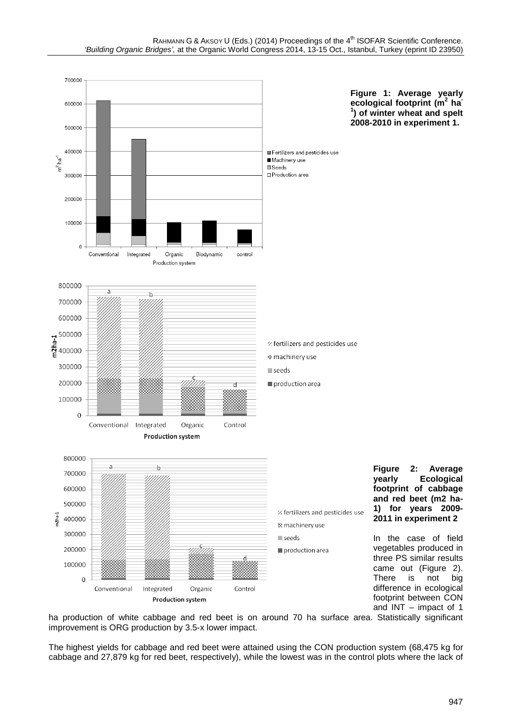

ha production of white cabbage and red beet is on around 70 ha surface area. Statistically significant improvement is ORG production by 3.5-x lower impact.

The highest yields for cabbage and red beet were attained using the CON production system (68,475 kg for cabbage and 27,879 kg for red beet, respectively), while the lowest was in the control plots where the lack of